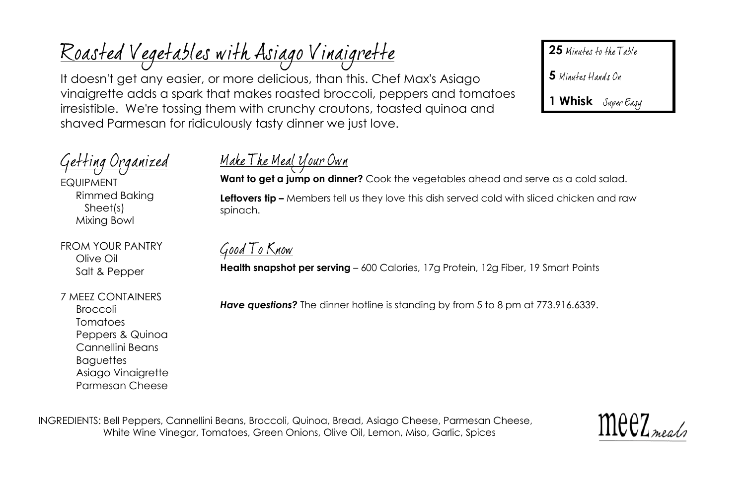It doesn't get any easier, or more delicious, than this. Chef Max's Asiago vinaigrette adds a spark that makes roasted broccoli, peppers and tomatoes irresistible. We're tossing them with crunchy croutons, toasted quinoa and shaved Parmesan for ridiculously tasty dinner we just love.

25 Minutes to the Table

5 Minutes Hands On

**1 Whisk**

# Getting Organized

EQUIPMENT Rimmed Baking Sheet(s) Mixing Bowl

FROM YOUR PANTRY Olive Oil Salt & Pepper

#### 7 MEEZ CONTAINERS

Broccoli Tomatoes Peppers & Quinoa Cannellini Beans **Baguettes** Asiago Vinaigrette Parmesan Cheese

## <u> Make The Meal Your Own</u>

**Want to get a jump on dinner?** Cook the vegetables ahead and serve as a cold salad. **Leftovers tip –** Members tell us they love this dish served cold with sliced chicken and raw spinach.

Good To Know

<u>Roasted Vegetables with Asiago Vinaigrette</u>

**Health snapshot per serving** – 600 Calories, 17g Protein, 12g Fiber, 19 Smart Points

*Have questions?* The dinner hotline is standing by from 5 to 8 pm at 773.916.6339.

INGREDIENTS: Bell Peppers, Cannellini Beans, Broccoli, Quinoa, Bread, Asiago Cheese, Parmesan Cheese, White Wine Vinegar, Tomatoes, Green Onions, Olive Oil, Lemon, Miso, Garlic, Spices